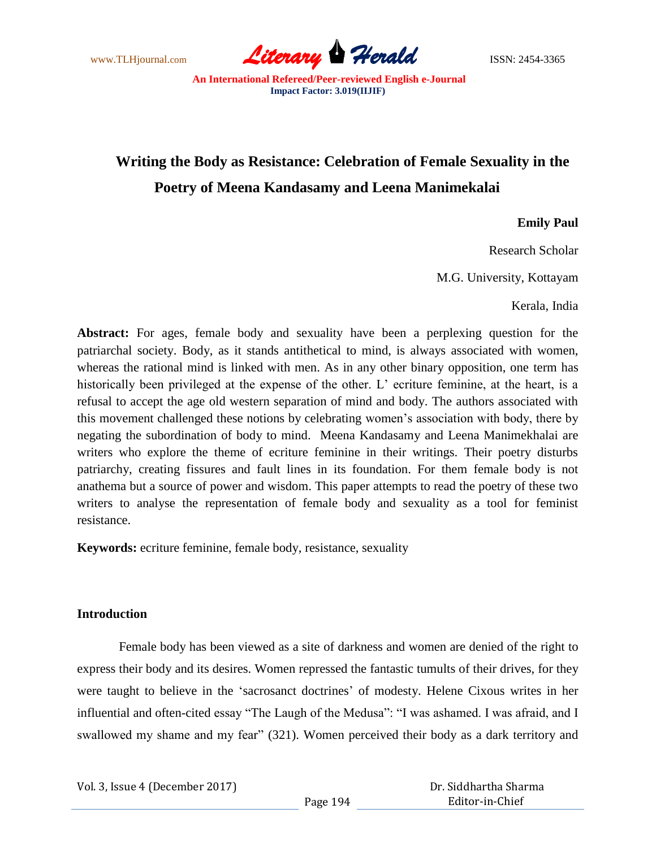www.TLHjournal.com **Literary Perald Herald** ISSN: 2454-3365

# **Writing the Body as Resistance: Celebration of Female Sexuality in the Poetry of Meena Kandasamy and Leena Manimekalai**

## **Emily Paul**

Research Scholar

M.G. University, Kottayam

Kerala, India

**Abstract:** For ages, female body and sexuality have been a perplexing question for the patriarchal society. Body, as it stands antithetical to mind, is always associated with women, whereas the rational mind is linked with men. As in any other binary opposition, one term has historically been privileged at the expense of the other. L' ecriture feminine, at the heart, is a refusal to accept the age old western separation of mind and body. The authors associated with this movement challenged these notions by celebrating women"s association with body, there by negating the subordination of body to mind. Meena Kandasamy and Leena Manimekhalai are writers who explore the theme of ecriture feminine in their writings. Their poetry disturbs patriarchy, creating fissures and fault lines in its foundation. For them female body is not anathema but a source of power and wisdom. This paper attempts to read the poetry of these two writers to analyse the representation of female body and sexuality as a tool for feminist resistance.

**Keywords:** ecriture feminine, female body, resistance, sexuality

### **Introduction**

Female body has been viewed as a site of darkness and women are denied of the right to express their body and its desires. Women repressed the fantastic tumults of their drives, for they were taught to believe in the "sacrosanct doctrines" of modesty. Helene Cixous writes in her influential and often-cited essay "The Laugh of the Medusa": "I was ashamed. I was afraid, and I swallowed my shame and my fear" (321). Women perceived their body as a dark territory and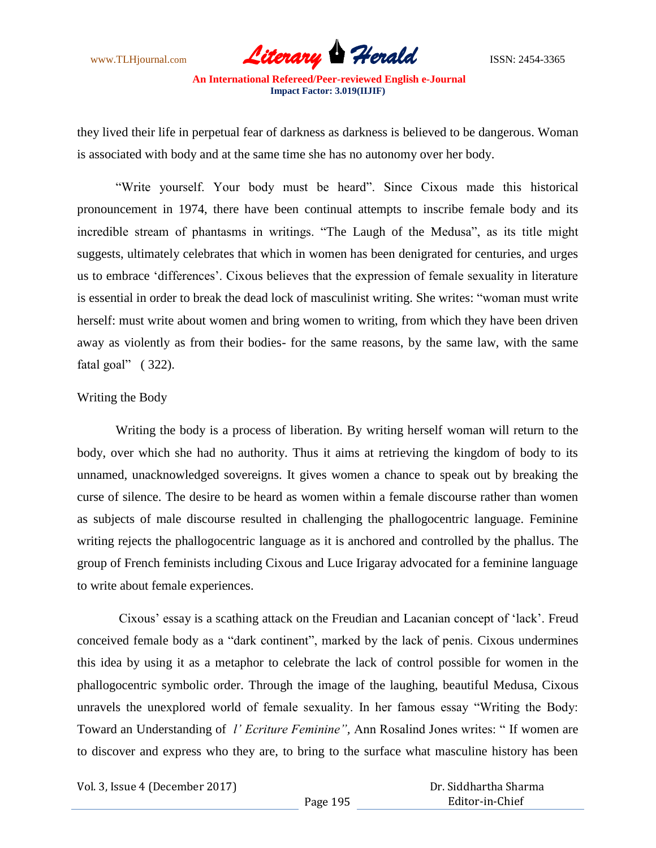www.TLHjournal.com *Literary Herald*ISSN: 2454-3365

they lived their life in perpetual fear of darkness as darkness is believed to be dangerous. Woman is associated with body and at the same time she has no autonomy over her body.

"Write yourself. Your body must be heard". Since Cixous made this historical pronouncement in 1974, there have been continual attempts to inscribe female body and its incredible stream of phantasms in writings. "The Laugh of the Medusa", as its title might suggests, ultimately celebrates that which in women has been denigrated for centuries, and urges us to embrace "differences". Cixous believes that the expression of female sexuality in literature is essential in order to break the dead lock of masculinist writing. She writes: "woman must write herself: must write about women and bring women to writing, from which they have been driven away as violently as from their bodies- for the same reasons, by the same law, with the same fatal goal" (322).

#### Writing the Body

Writing the body is a process of liberation. By writing herself woman will return to the body, over which she had no authority. Thus it aims at retrieving the kingdom of body to its unnamed, unacknowledged sovereigns. It gives women a chance to speak out by breaking the curse of silence. The desire to be heard as women within a female discourse rather than women as subjects of male discourse resulted in challenging the phallogocentric language. Feminine writing rejects the phallogocentric language as it is anchored and controlled by the phallus. The group of French feminists including Cixous and Luce Irigaray advocated for a feminine language to write about female experiences.

Cixous" essay is a scathing attack on the Freudian and Lacanian concept of "lack". Freud conceived female body as a "dark continent", marked by the lack of penis. Cixous undermines this idea by using it as a metaphor to celebrate the lack of control possible for women in the phallogocentric symbolic order. Through the image of the laughing, beautiful Medusa, Cixous unravels the unexplored world of female sexuality. In her famous essay "Writing the Body: Toward an Understanding of *l' Ecriture Feminine",* Ann Rosalind Jones writes: " If women are to discover and express who they are, to bring to the surface what masculine history has been

Vol. 3, Issue 4 (December 2017)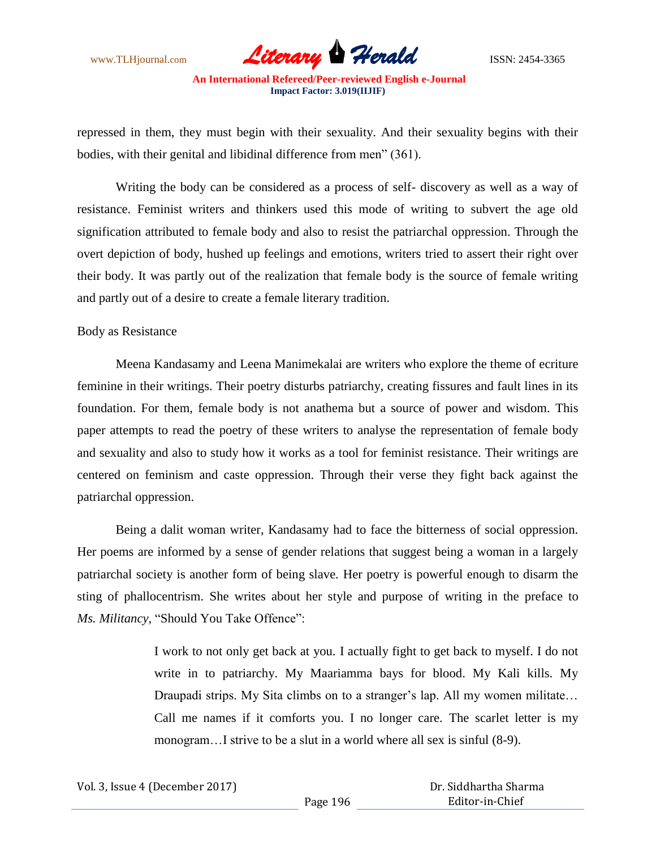www.TLHjournal.com *Literary Herald*ISSN: 2454-3365

repressed in them, they must begin with their sexuality. And their sexuality begins with their bodies, with their genital and libidinal difference from men" (361).

Writing the body can be considered as a process of self- discovery as well as a way of resistance. Feminist writers and thinkers used this mode of writing to subvert the age old signification attributed to female body and also to resist the patriarchal oppression. Through the overt depiction of body, hushed up feelings and emotions, writers tried to assert their right over their body. It was partly out of the realization that female body is the source of female writing and partly out of a desire to create a female literary tradition.

#### Body as Resistance

Meena Kandasamy and Leena Manimekalai are writers who explore the theme of ecriture feminine in their writings. Their poetry disturbs patriarchy, creating fissures and fault lines in its foundation. For them, female body is not anathema but a source of power and wisdom. This paper attempts to read the poetry of these writers to analyse the representation of female body and sexuality and also to study how it works as a tool for feminist resistance. Their writings are centered on feminism and caste oppression. Through their verse they fight back against the patriarchal oppression.

Being a dalit woman writer, Kandasamy had to face the bitterness of social oppression. Her poems are informed by a sense of gender relations that suggest being a woman in a largely patriarchal society is another form of being slave. Her poetry is powerful enough to disarm the sting of phallocentrism. She writes about her style and purpose of writing in the preface to *Ms. Militancy,* "Should You Take Offence":

> I work to not only get back at you. I actually fight to get back to myself. I do not write in to patriarchy. My Maariamma bays for blood. My Kali kills. My Draupadi strips. My Sita climbs on to a stranger's lap. All my women militate... Call me names if it comforts you. I no longer care. The scarlet letter is my monogram…I strive to be a slut in a world where all sex is sinful (8-9).

| Vol. 3, Issue 4 (December 2017) |          | Dr. Siddhartha Sharma |  |
|---------------------------------|----------|-----------------------|--|
|                                 | Page 196 | Editor-in-Chief       |  |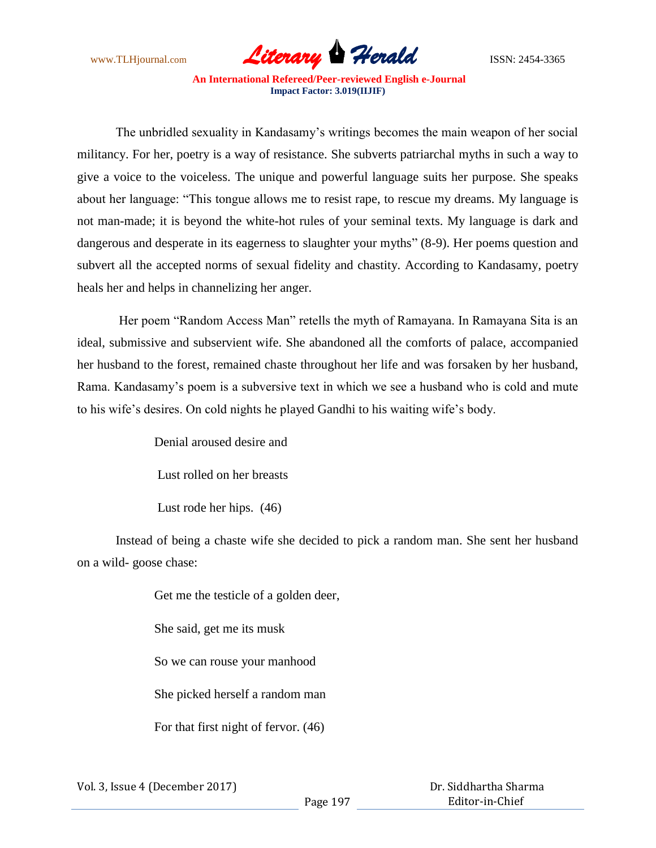

The unbridled sexuality in Kandasamy"s writings becomes the main weapon of her social militancy. For her, poetry is a way of resistance. She subverts patriarchal myths in such a way to give a voice to the voiceless. The unique and powerful language suits her purpose. She speaks about her language: "This tongue allows me to resist rape, to rescue my dreams. My language is not man-made; it is beyond the white-hot rules of your seminal texts. My language is dark and dangerous and desperate in its eagerness to slaughter your myths" (8-9). Her poems question and subvert all the accepted norms of sexual fidelity and chastity. According to Kandasamy, poetry heals her and helps in channelizing her anger.

Her poem "Random Access Man" retells the myth of Ramayana. In Ramayana Sita is an ideal, submissive and subservient wife. She abandoned all the comforts of palace, accompanied her husband to the forest, remained chaste throughout her life and was forsaken by her husband, Rama. Kandasamy"s poem is a subversive text in which we see a husband who is cold and mute to his wife"s desires. On cold nights he played Gandhi to his waiting wife"s body.

Denial aroused desire and

Lust rolled on her breasts

Lust rode her hips. (46)

Instead of being a chaste wife she decided to pick a random man. She sent her husband on a wild- goose chase:

> Get me the testicle of a golden deer, She said, get me its musk So we can rouse your manhood She picked herself a random man For that first night of fervor. (46)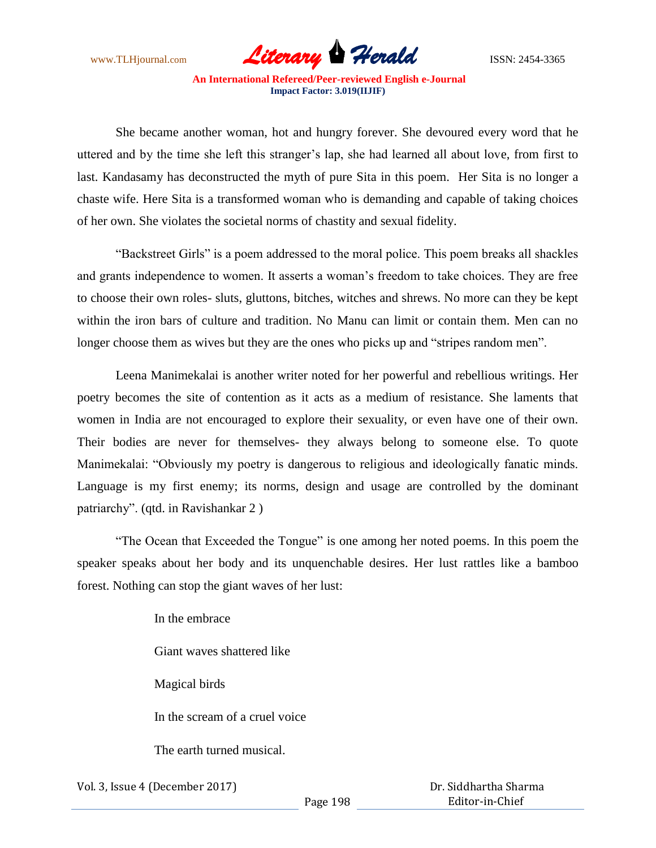www.TLHjournal.com **Literary Herald ISSN: 2454-3365** 

She became another woman, hot and hungry forever. She devoured every word that he uttered and by the time she left this stranger"s lap, she had learned all about love, from first to last. Kandasamy has deconstructed the myth of pure Sita in this poem. Her Sita is no longer a chaste wife. Here Sita is a transformed woman who is demanding and capable of taking choices of her own. She violates the societal norms of chastity and sexual fidelity.

"Backstreet Girls" is a poem addressed to the moral police. This poem breaks all shackles and grants independence to women. It asserts a woman"s freedom to take choices. They are free to choose their own roles- sluts, gluttons, bitches, witches and shrews. No more can they be kept within the iron bars of culture and tradition. No Manu can limit or contain them. Men can no longer choose them as wives but they are the ones who picks up and "stripes random men".

Leena Manimekalai is another writer noted for her powerful and rebellious writings. Her poetry becomes the site of contention as it acts as a medium of resistance. She laments that women in India are not encouraged to explore their sexuality, or even have one of their own. Their bodies are never for themselves- they always belong to someone else. To quote Manimekalai: "Obviously my poetry is dangerous to religious and ideologically fanatic minds. Language is my first enemy; its norms, design and usage are controlled by the dominant patriarchy". (qtd. in Ravishankar 2 )

"The Ocean that Exceeded the Tongue" is one among her noted poems. In this poem the speaker speaks about her body and its unquenchable desires. Her lust rattles like a bamboo forest. Nothing can stop the giant waves of her lust:

> In the embrace Giant waves shattered like Magical birds In the scream of a cruel voice The earth turned musical.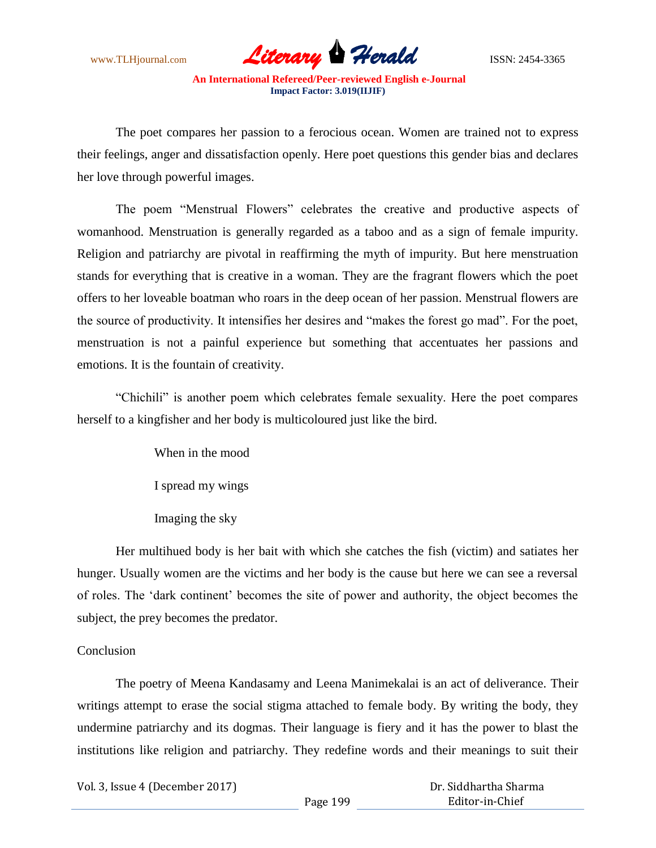www.TLHjournal.com **Literary Herald Herald** ISSN: 2454-3365

The poet compares her passion to a ferocious ocean. Women are trained not to express their feelings, anger and dissatisfaction openly. Here poet questions this gender bias and declares her love through powerful images.

The poem "Menstrual Flowers" celebrates the creative and productive aspects of womanhood. Menstruation is generally regarded as a taboo and as a sign of female impurity. Religion and patriarchy are pivotal in reaffirming the myth of impurity. But here menstruation stands for everything that is creative in a woman. They are the fragrant flowers which the poet offers to her loveable boatman who roars in the deep ocean of her passion. Menstrual flowers are the source of productivity. It intensifies her desires and "makes the forest go mad". For the poet, menstruation is not a painful experience but something that accentuates her passions and emotions. It is the fountain of creativity.

"Chichili" is another poem which celebrates female sexuality. Here the poet compares herself to a kingfisher and her body is multicoloured just like the bird.

> When in the mood I spread my wings Imaging the sky

Her multihued body is her bait with which she catches the fish (victim) and satiates her hunger. Usually women are the victims and her body is the cause but here we can see a reversal of roles. The "dark continent" becomes the site of power and authority, the object becomes the subject, the prey becomes the predator.

#### **Conclusion**

The poetry of Meena Kandasamy and Leena Manimekalai is an act of deliverance. Their writings attempt to erase the social stigma attached to female body. By writing the body, they undermine patriarchy and its dogmas. Their language is fiery and it has the power to blast the institutions like religion and patriarchy. They redefine words and their meanings to suit their

| Vol. 3, Issue 4 (December 2017) |          | Dr. Siddhartha Sharma |  |
|---------------------------------|----------|-----------------------|--|
|                                 | Page 199 | Editor-in-Chief       |  |